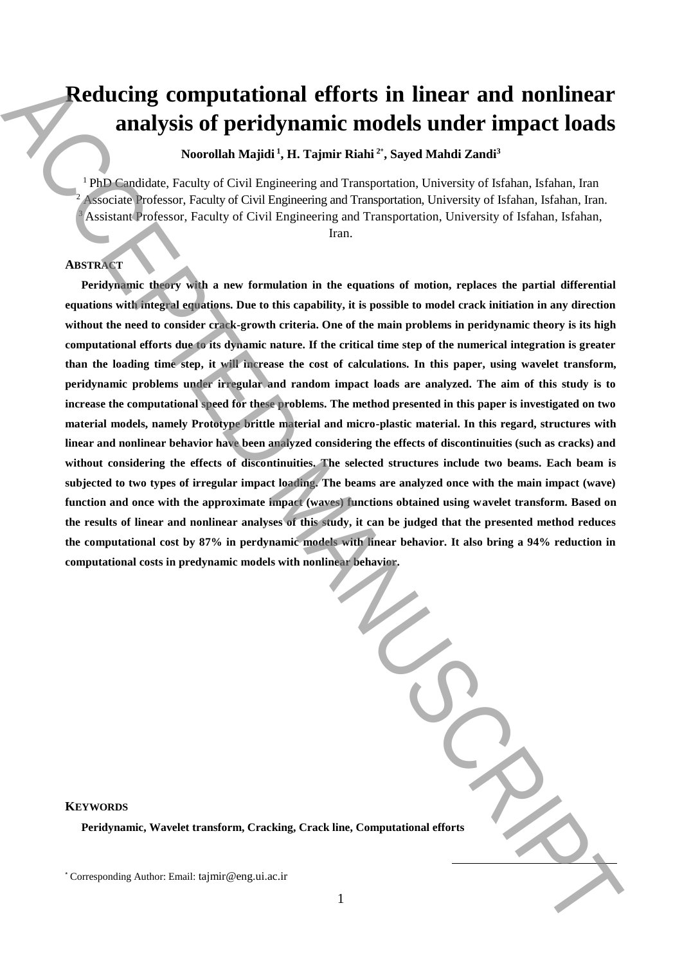# **Reducing computational efforts in linear and nonlinear analysis of peridynamic models under impact loads**

**Noorollah Majidi <sup>1</sup> , H. Tajmir Riahi <sup>2</sup>**\* **, Sayed Mahdi Zandi<sup>3</sup>**

<sup>1</sup> PhD Candidate, Faculty of Civil Engineering and Transportation, University of Isfahan, Isfahan, Iran <sup>2</sup> Associate Professor, Faculty of Civil Engineering and Transportation, University of Isfahan, Isfahan, Iran. Assistant Professor, Faculty of Civil Engineering and Transportation, University of Isfahan, Isfahan,

Iran.

# **ABSTRACT**

**Peridynamic theory with a new formulation in the equations of motion, replaces the partial differential equations with integral equations. Due to this capability, it is possible to model crack initiation in any direction**  without the need to consider crack-growth criteria. One of the main problems in peridynamic theory is its high **computational efforts due to its dynamic nature. If the critical time step of the numerical integration is greater than the loading time step, it will increase the cost of calculations. In this paper, using wavelet transform, peridynamic problems under irregular and random impact loads are analyzed. The aim of this study is to increase the computational speed for these problems. The method presented in this paper is investigated on two material models, namely Prototype brittle material and micro-plastic material. In this regard, structures with linear and nonlinear behavior have been analyzed considering the effects of discontinuities (such as cracks) and without considering the effects of discontinuities. The selected structures include two beams. Each beam is subjected to two types of irregular impact loading. The beams are analyzed once with the main impact (wave) function and once with the approximate impact (waves) functions obtained using wavelet transform. Based on the results of linear and nonlinear analyses of this study, it can be judged that the presented method reduces the computational cost by 87% in perdynamic models with linear behavior. It also bring a 94% reduction in computational costs in predynamic models with nonlinear behavior. Example 16.** Corresponding Computational efforts in linear and nonlinear and nonlinear and specific the corresponding  $\sim$  Corresponding Author:  $\sim$  Corresponding Author:  $\sim$  Corresponding Author:  $\sim$  Corresponding Au

1

| <b>YWORDS</b><br>Peridynamic, Wavelet transform, Cracking, Crack line, Computational efforts |
|----------------------------------------------------------------------------------------------|
| orresponding Author: Email: tajmir@eng.ui.ac.ir                                              |

**KEYWORDS**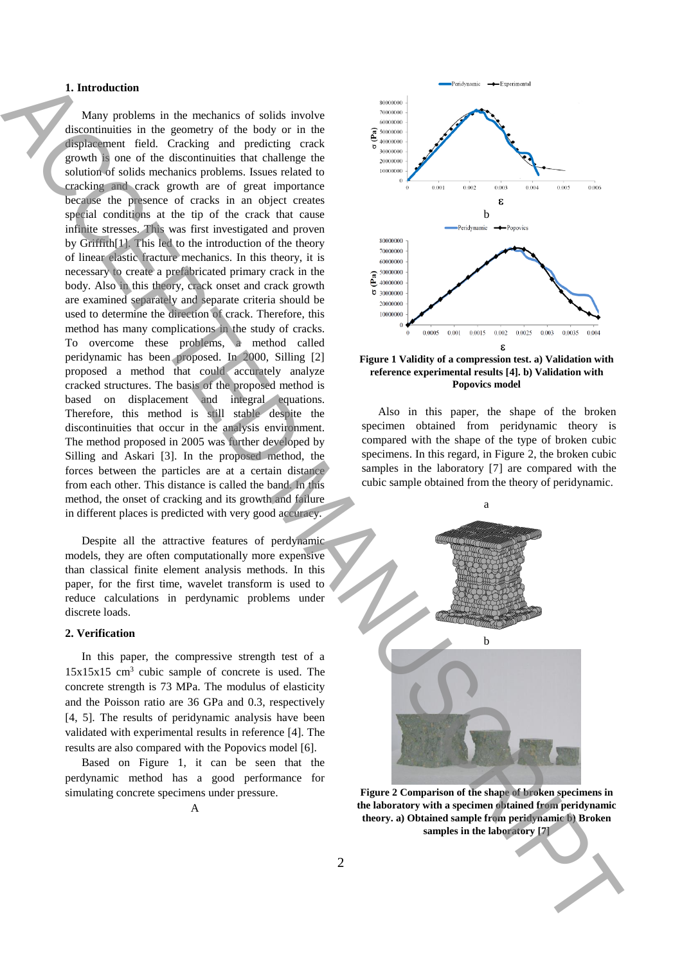# **1. Introduction**

Many problems in the mechanics of solids involve discontinuities in the geometry of the body or in the displacement field. Cracking and predicting crack growth is one of the discontinuities that challenge the solution of solids mechanics problems. Issues related to cracking and crack growth are of great importance because the presence of cracks in an object creates special conditions at the tip of the crack that cause infinite stresses. This was first investigated and proven by Griffith[1]. This led to the introduction of the theory of linear elastic fracture mechanics. In this theory, it is necessary to create a prefabricated primary crack in the body. Also in this theory, crack onset and crack growth are examined separately and separate criteria should be used to determine the direction of crack. Therefore, this method has many complications in the study of cracks. To overcome these problems, a method called peridynamic has been proposed. In 2000, Silling [2] proposed a method that could accurately analyze cracked structures. The basis of the proposed method is based on displacement and integral equations. Therefore, this method is still stable despite the discontinuities that occur in the analysis environment. The method proposed in 2005 was further developed by Silling and Askari [3]. In the proposed method, the forces between the particles are at a certain distance from each other. This distance is called the band. In this method, the onset of cracking and its growth and failure in different places is predicted with very good accuracy. **I** have contained to the second of the both case in a contact of the second of the second of the second of the second of the second of the second of the second of the second of the second of the second of the second of t

Despite all the attractive features of perdynamic models, they are often computationally more expensive than classical finite element analysis methods. In this paper, for the first time, wavelet transform is used to reduce calculations in perdynamic problems under discrete loads.

# **2. Verification**

In this paper, the compressive strength test of a 15x15x15 cm<sup>3</sup> cubic sample of concrete is used. The concrete strength is 73 MPa. The modulus of elasticity and the Poisson ratio are 36 GPa and 0.3, respectively [4, 5]. The results of peridynamic analysis have been validated with experimental results in reference [4]. The results are also compared with the Popovics model [6].

Based on Figure 1, it can be seen that the perdynamic method has a good performance for simulating concrete specimens under pressure.



#### **Figure 1 Validity of a compression test. a) Validation with reference experimental results [4]. b) Validation with Popovics model**

Also in this paper, the shape of the broken specimen obtained from peridynamic theory is compared with the shape of the type of broken cubic specimens. In this regard, in Figure 2, the broken cubic samples in the laboratory [7] are compared with the cubic sample obtained from the theory of peridynamic.



**Figure 2 Comparison of the shape of broken specimens in the laboratory with a specimen obtained from peridynamic theory. a) Obtained sample from peridynamic b) Broken samples in the laboratory [7]**